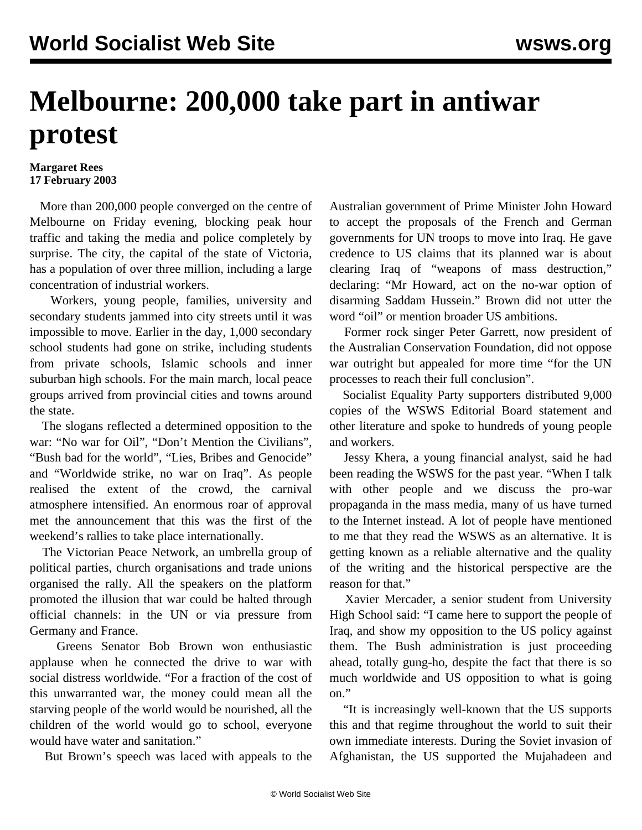## **Melbourne: 200,000 take part in antiwar protest**

## **Margaret Rees 17 February 2003**

 More than 200,000 people converged on the centre of Melbourne on Friday evening, blocking peak hour traffic and taking the media and police completely by surprise. The city, the capital of the state of Victoria, has a population of over three million, including a large concentration of industrial workers.

 Workers, young people, families, university and secondary students jammed into city streets until it was impossible to move. Earlier in the day, 1,000 secondary school students had gone on strike, including students from private schools, Islamic schools and inner suburban high schools. For the main march, local peace groups arrived from provincial cities and towns around the state.

 The slogans reflected a determined opposition to the war: "No war for Oil", "Don't Mention the Civilians", "Bush bad for the world", "Lies, Bribes and Genocide" and "Worldwide strike, no war on Iraq". As people realised the extent of the crowd, the carnival atmosphere intensified. An enormous roar of approval met the announcement that this was the first of the weekend's rallies to take place internationally.

 The Victorian Peace Network, an umbrella group of political parties, church organisations and trade unions organised the rally. All the speakers on the platform promoted the illusion that war could be halted through official channels: in the UN or via pressure from Germany and France.

 Greens Senator Bob Brown won enthusiastic applause when he connected the drive to war with social distress worldwide. "For a fraction of the cost of this unwarranted war, the money could mean all the starving people of the world would be nourished, all the children of the world would go to school, everyone would have water and sanitation."

But Brown's speech was laced with appeals to the

Australian government of Prime Minister John Howard to accept the proposals of the French and German governments for UN troops to move into Iraq. He gave credence to US claims that its planned war is about clearing Iraq of "weapons of mass destruction," declaring: "Mr Howard, act on the no-war option of disarming Saddam Hussein." Brown did not utter the word "oil" or mention broader US ambitions.

 Former rock singer Peter Garrett, now president of the Australian Conservation Foundation, did not oppose war outright but appealed for more time "for the UN processes to reach their full conclusion".

 Socialist Equality Party supporters distributed 9,000 copies of the WSWS Editorial Board statement and other literature and spoke to hundreds of young people and workers.

 Jessy Khera, a young financial analyst, said he had been reading the WSWS for the past year. "When I talk with other people and we discuss the pro-war propaganda in the mass media, many of us have turned to the Internet instead. A lot of people have mentioned to me that they read the WSWS as an alternative. It is getting known as a reliable alternative and the quality of the writing and the historical perspective are the reason for that."

 Xavier Mercader, a senior student from University High School said: "I came here to support the people of Iraq, and show my opposition to the US policy against them. The Bush administration is just proceeding ahead, totally gung-ho, despite the fact that there is so much worldwide and US opposition to what is going on."

 "It is increasingly well-known that the US supports this and that regime throughout the world to suit their own immediate interests. During the Soviet invasion of Afghanistan, the US supported the Mujahadeen and